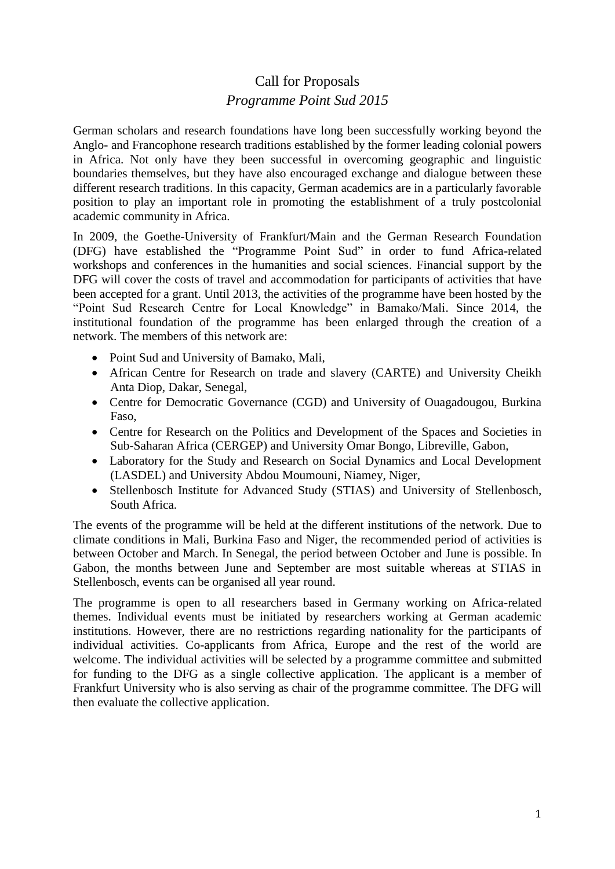## Call for Proposals *Programme Point Sud 2015*

German scholars and research foundations have long been successfully working beyond the Anglo- and Francophone research traditions established by the former leading colonial powers in Africa. Not only have they been successful in overcoming geographic and linguistic boundaries themselves, but they have also encouraged exchange and dialogue between these different research traditions. In this capacity, German academics are in a particularly favorable position to play an important role in promoting the establishment of a truly postcolonial academic community in Africa.

In 2009, the Goethe-University of Frankfurt/Main and the German Research Foundation (DFG) have established the "Programme Point Sud" in order to fund Africa-related workshops and conferences in the humanities and social sciences. Financial support by the DFG will cover the costs of travel and accommodation for participants of activities that have been accepted for a grant. Until 2013, the activities of the programme have been hosted by the "Point Sud Research Centre for Local Knowledge" in Bamako/Mali. Since 2014, the institutional foundation of the programme has been enlarged through the creation of a network. The members of this network are:

- Point Sud and University of Bamako, Mali,
- African Centre for Research on trade and slavery (CARTE) and University Cheikh Anta Diop, Dakar, Senegal,
- Centre for Democratic Governance (CGD) and University of Ouagadougou, Burkina Faso,
- Centre for Research on the Politics and Development of the Spaces and Societies in Sub-Saharan Africa (CERGEP) and University Omar Bongo, Libreville, Gabon,
- Laboratory for the Study and Research on Social Dynamics and Local Development (LASDEL) and University Abdou Moumouni, Niamey, Niger,
- Stellenbosch Institute for Advanced Study (STIAS) and University of Stellenbosch, South Africa.

The events of the programme will be held at the different institutions of the network. Due to climate conditions in Mali, Burkina Faso and Niger, the recommended period of activities is between October and March. In Senegal, the period between October and June is possible. In Gabon, the months between June and September are most suitable whereas at STIAS in Stellenbosch, events can be organised all year round.

The programme is open to all researchers based in Germany working on Africa-related themes. Individual events must be initiated by researchers working at German academic institutions. However, there are no restrictions regarding nationality for the participants of individual activities. Co-applicants from Africa, Europe and the rest of the world are welcome. The individual activities will be selected by a programme committee and submitted for funding to the DFG as a single collective application. The applicant is a member of Frankfurt University who is also serving as chair of the programme committee. The DFG will then evaluate the collective application.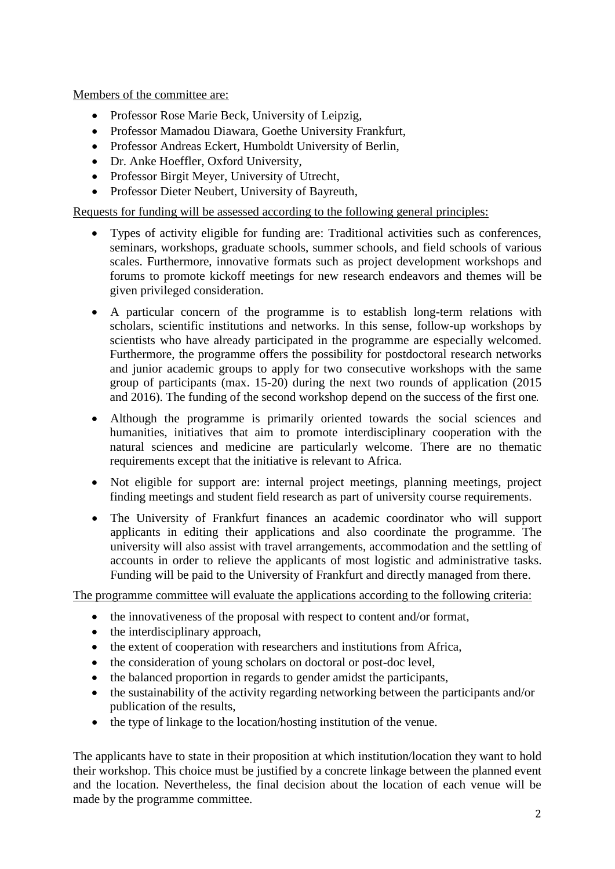Members of the committee are:

- Professor Rose Marie Beck, University of Leipzig,
- Professor Mamadou Diawara, Goethe University Frankfurt,
- Professor Andreas Eckert, Humboldt University of Berlin,
- Dr. Anke Hoeffler, Oxford University,
- Professor Birgit Meyer, University of Utrecht,
- Professor Dieter Neubert, University of Bayreuth,

Requests for funding will be assessed according to the following general principles:

- Types of activity eligible for funding are: Traditional activities such as conferences, seminars, workshops, graduate schools, summer schools, and field schools of various scales. Furthermore, innovative formats such as project development workshops and forums to promote kickoff meetings for new research endeavors and themes will be given privileged consideration.
- A particular concern of the programme is to establish long-term relations with scholars, scientific institutions and networks. In this sense, follow-up workshops by scientists who have already participated in the programme are especially welcomed. Furthermore, the programme offers the possibility for postdoctoral research networks and junior academic groups to apply for two consecutive workshops with the same group of participants (max. 15-20) during the next two rounds of application (2015 and 2016). The funding of the second workshop depend on the success of the first one.
- Although the programme is primarily oriented towards the social sciences and humanities, initiatives that aim to promote interdisciplinary cooperation with the natural sciences and medicine are particularly welcome. There are no thematic requirements except that the initiative is relevant to Africa.
- Not eligible for support are: internal project meetings, planning meetings, project finding meetings and student field research as part of university course requirements.
- The University of Frankfurt finances an academic coordinator who will support applicants in editing their applications and also coordinate the programme. The university will also assist with travel arrangements, accommodation and the settling of accounts in order to relieve the applicants of most logistic and administrative tasks. Funding will be paid to the University of Frankfurt and directly managed from there.

The programme committee will evaluate the applications according to the following criteria:

- the innovativeness of the proposal with respect to content and/or format,
- the interdisciplinary approach,
- the extent of cooperation with researchers and institutions from Africa,
- the consideration of young scholars on doctoral or post-doc level,
- the balanced proportion in regards to gender amidst the participants,
- the sustainability of the activity regarding networking between the participants and/or publication of the results,
- the type of linkage to the location/hosting institution of the venue.

The applicants have to state in their proposition at which institution/location they want to hold their workshop. This choice must be justified by a concrete linkage between the planned event and the location. Nevertheless, the final decision about the location of each venue will be made by the programme committee.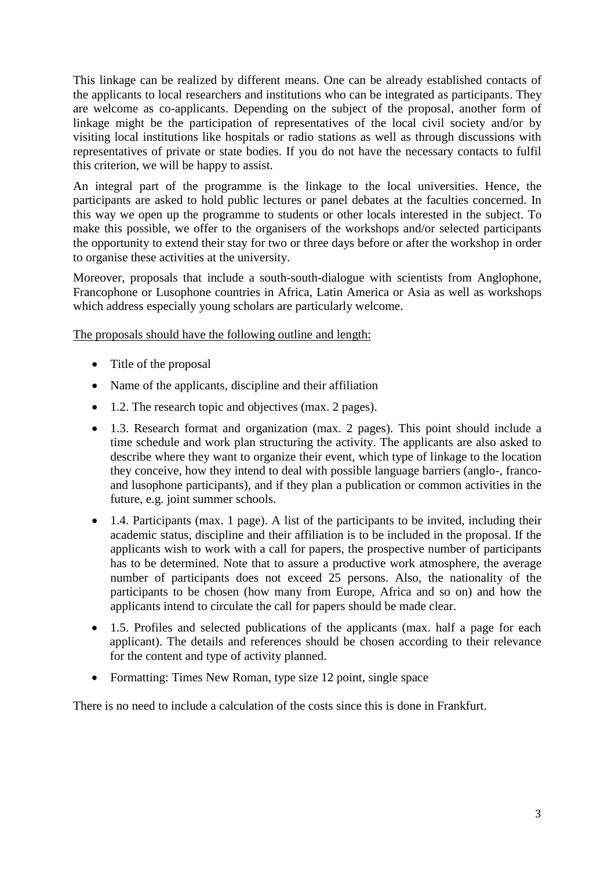This linkage can be realized by different means. One can be already established contacts of the applicants to local researchers and institutions who can be integrated as participants. They are welcome as co-applicants. Depending on the subject of the proposal, another form of linkage might be the participation of representatives of the local civil society and/or by visiting local institutions like hospitals or radio stations as well as through discussions with representatives of private or state bodies. If you do not have the necessary contacts to fulfil this criterion, we will be happy to assist.

An integral part of the programme is the linkage to the local universities. Hence, the participants are asked to hold public lectures or panel debates at the faculties concerned. In this way we open up the programme to students or other locals interested in the subject. To make this possible, we offer to the organisers of the workshops and/or selected participants the opportunity to extend their stay for two or three days before or after the workshop in order to organise these activities at the university.

Moreover, proposals that include a south-south-dialogue with scientists from Anglophone, Francophone or Lusophone countries in Africa, Latin America or Asia as well as workshops which address especially young scholars are particularly welcome.

The proposals should have the following outline and length:

- Title of the proposal
- Name of the applicants, discipline and their affiliation
- 1.2. The research topic and objectives (max. 2 pages).
- 1.3. Research format and organization (max. 2 pages). This point should include a time schedule and work plan structuring the activity. The applicants are also asked to describe where they want to organize their event, which type of linkage to the location they conceive, how they intend to deal with possible language barriers (anglo-, francoand lusophone participants), and if they plan a publication or common activities in the future, e.g. joint summer schools.
- 1.4. Participants (max. 1 page). A list of the participants to be invited, including their academic status, discipline and their affiliation is to be included in the proposal. If the applicants wish to work with a call for papers, the prospective number of participants has to be determined. Note that to assure a productive work atmosphere, the average number of participants does not exceed 25 persons. Also, the nationality of the participants to be chosen (how many from Europe, Africa and so on) and how the applicants intend to circulate the call for papers should be made clear.
- 1.5. Profiles and selected publications of the applicants (max. half a page for each applicant). The details and references should be chosen according to their relevance for the content and type of activity planned.
- Formatting: Times New Roman, type size 12 point, single space

There is no need to include a calculation of the costs since this is done in Frankfurt.